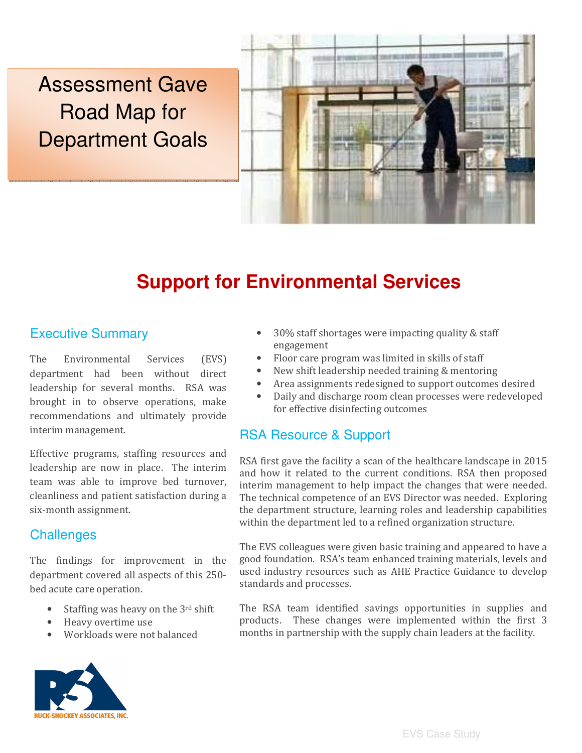Assessment Gave Road Map for Department Goals



# **Support for Environmental Services**

## Executive Summary

The Environmental Services (EVS) department had been without direct leadership for several months. RSA was brought in to observe operations, make recommendations and ultimately provide interim management.

Effective programs, staffing resources and leadership are now in place. The interim team was able to improve bed turnover, cleanliness and patient satisfaction during a six-month assignment.

#### **Challenges**

The findings for improvement in the department covered all aspects of this 250 bed acute care operation.

- Staffing was heavy on the 3rd shift
- Heavy overtime use
- Workloads were not balanced



- 30% staff shortages were impacting quality & staff engagement
- Floor care program was limited in skills of staff
- New shift leadership needed training & mentoring
- Area assignments redesigned to support outcomes desired
- Daily and discharge room clean processes were redeveloped for effective disinfecting outcomes

#### RSA Resource & Support

RSA first gave the facility a scan of the healthcare landscape in 2015 and how it related to the current conditions. RSA then proposed interim management to help impact the changes that were needed. The technical competence of an EVS Director was needed. Exploring the department structure, learning roles and leadership capabilities within the department led to a refined organization structure.

The EVS colleagues were given basic training and appeared to have a good foundation. RSA's team enhanced training materials, levels and used industry resources such as AHE Practice Guidance to develop standards and processes.

The RSA team identified savings opportunities in supplies and products. These changes were implemented within the first 3 months in partnership with the supply chain leaders at the facility.